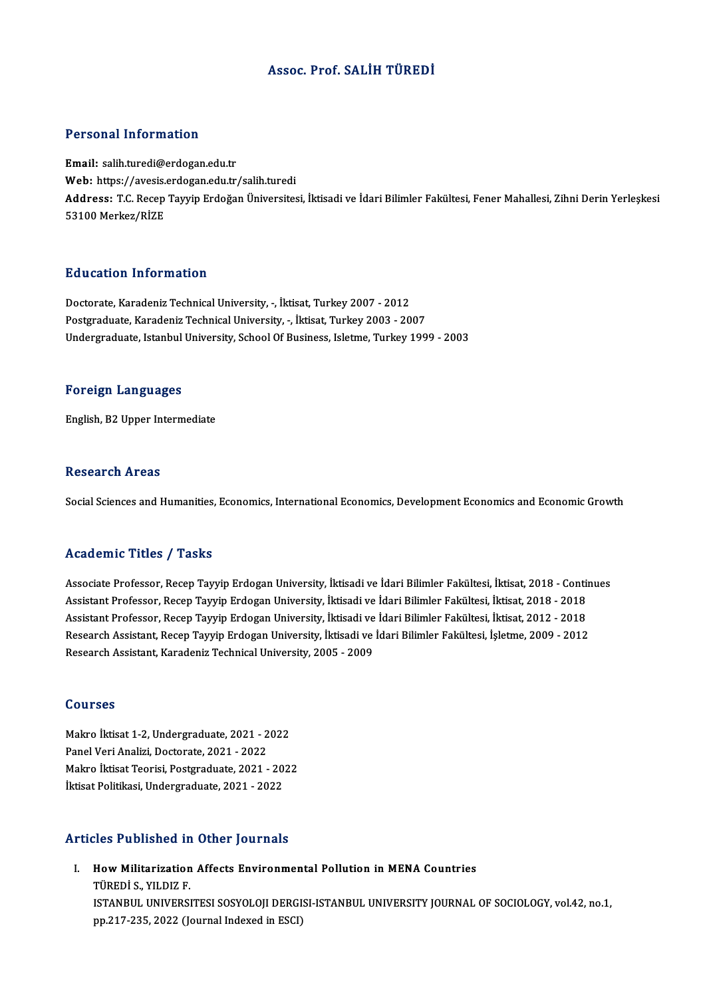# Assoc. Prof. SALİH TÜREDİ

## Personal Information

Email: salih.turedi@erdogan.edu.tr Web: https://avesis.erdogan.edu.tr/salih.turedi Email: salih.turedi@erdogan.edu.tr<br>Web: https://avesis.erdogan.edu.tr/salih.turedi<br>Address: T.C. Recep Tayyip Erdoğan Üniversitesi, İktisadi ve İdari Bilimler Fakültesi, Fener Mahallesi, Zihni Derin Yerleşkesi<br>53100 Merkez Web: https://avesis.<br>Address: T.C. Recep<br>53100 Merkez/RİZE

## Education Information

Doctorate, Karadeniz Technical University, -, İktisat, Turkey 2007 - 2012 Postgraduate, Karadeniz Technical University, -, İktisat, Turkey 2003 - 2007 Undergraduate, Istanbul University, School Of Business, Isletme, Turkey 1999 - 2003

## Foreign Languages

English,B2Upper Intermediate

### **Research Areas**

Social Sciences and Humanities, Economics, International Economics, Development Economics and Economic Growth

# Academic Titles / Tasks

Associate Professor, Recep Tayyip Erdogan University, İktisadi ve İdari Bilimler Fakültesi, İktisat, 2018 - Continues Associate Professor, Recep Tayyip Erdogan University, İktisadi ve İdari Bilimler Fakültesi, İktisat, 2018 - Conti<br>Assistant Professor, Recep Tayyip Erdogan University, İktisadi ve İdari Bilimler Fakültesi, İktisat, 2018 - Associate Professor, Recep Tayyip Erdogan University, İktisadi ve İdari Bilimler Fakültesi, İktisat, 2018 - Conti<br>Assistant Professor, Recep Tayyip Erdogan University, İktisadi ve İdari Bilimler Fakültesi, İktisat, 2018 - Assistant Professor, Recep Tayyip Erdogan University, İktisadi ve İdari Bilimler Fakültesi, İktisat, 2018 - 2018<br>Assistant Professor, Recep Tayyip Erdogan University, İktisadi ve İdari Bilimler Fakültesi, İktisat, 2012 - 2 Assistant Professor, Recep Tayyip Erdogan University, İktisadi ve<br>Research Assistant, Recep Tayyip Erdogan University, İktisadi ve<br>Research Assistant, Karadeniz Technical University, 2005 - 2009 Research Assistant, Karadeniz Technical University, 2005 - 2009<br>Courses

Courses<br>Makro İktisat 1-2, Undergraduate, 2021 - 2022<br>Panel Veri Aneliri, Decterate, 2021 - 2022 Pourbos<br>Makro İktisat 1-2, Undergraduate, 2021 - 2<br>Panel Veri Analizi, Doctorate, 2021 - 2022<br>Makro İktisat Teorisi, Bostaraduate, 2021 Makro İktisat 1-2, Undergraduate, 2021 - 2022<br>Panel Veri Analizi, Doctorate, 2021 - 2022<br>Makro İktisat Teorisi, Postgraduate, 2021 - 2022<br>İktisat Politikasi, Undergraduate, 2021 - 2022 Panel Veri Analizi, Doctorate, 2021 - 2022<br>Makro İktisat Teorisi, Postgraduate, 2021 - 20<br>İktisat Politikasi, Undergraduate, 2021 - 2022 İktisat Politikasi, Undergraduate, 2021 - 2022<br>Articles Published in Other Journals

rticles Published in Other Journals<br>I. How Militarization Affects Environmental Pollution in MENA Countries<br>Tüpeni S. VU DIZ E THE THE STATISTICS<br>TÜREDİ S., YILDIZ F.<br>ISTANPUL UNIVERSI How Militarization Affects Environmental Pollution in MENA Countries<br>TÜREDİ S., YILDIZ F.<br>ISTANBUL UNIVERSITESI SOSYOLOJI DERGISI-ISTANBUL UNIVERSITY JOURNAL OF SOCIOLOGY, vol.42, no.1,<br>nn 217 225, 2022 (Jaunnal Indeved in TÜREDİ S., YILDIZ F.<br>ISTANBUL UNIVERSITESI SOSYOLOJI DERGI:<br>pp.217-235, 2022 (Journal Indexed in ESCI)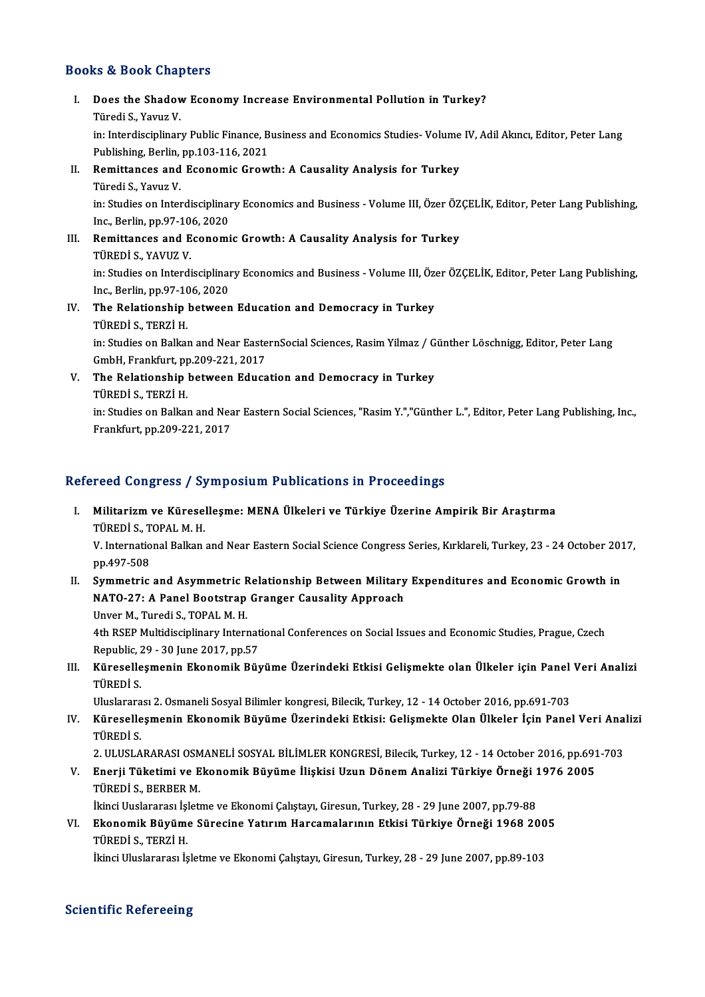# Books&Book Chapters

- ooks & Book Chapters<br>I. Does the Shadow Economy Increase Environmental Pollution in Turkey?<br> Türedi S. Yayya V The State of the Shadov<br>Türedi S., Yavuz V.<br>in: Interdissiplinar Does the Shadow Economy Increase Environmental Pollution in Turkey?<br>Türedi S., Yavuz V.<br>in: Interdisciplinary Public Finance, Business and Economics Studies- Volume IV, Adil Akıncı, Editor, Peter Lang<br>Publishing Perlin np. Türedi S., Yavuz V.<br>in: Interdisciplinary Public Finance, B<br>Publishing, Berlin, pp.103-116, 2021<br>Bemitten.cos and Feenemic Crow in: Interdisciplinary Public Finance, Business and Economics Studies-Volume<br>Publishing, Berlin, pp.103-116, 2021<br>II. Remittances and Economic Growth: A Causality Analysis for Turkey<br>Türedi S. Vauya V. Publishing, Berlin, pp.103-116, 2021<br>II. Remittances and Economic Growth: A Causality Analysis for Turkey<br>Türedi S., Yavuz V.
- 

Remittances and Economic Growth: A Causality Analysis for Turkey<br>Türedi S., Yavuz V.<br>in: Studies on Interdisciplinary Economics and Business - Volume III, Özer ÖZÇELİK, Editor, Peter Lang Publishing,<br>Ins. Berlin. pp.97.106 Türedi S., Yavuz V.<br>in: Studies on Interdisciplinai<br>Inc., Berlin, pp.97-106, 2020<br>Bemittenses and Esenemi in: Studies on Interdisciplinary Economics and Business - Volume III, Özer ÖZ<br>Inc., Berlin, pp.97-106, 2020<br>III. Remittances and Economic Growth: A Causality Analysis for Turkey<br>Tüpeni s. YAVIIZ V

Inc., Berlin, pp.97-10<br>Remittances and E<br>TÜREDİ S., YAVUZ V.<br>in: Studies en Interdi Remittances and Economic Growth: A Causality Analysis for Turkey<br>TÜREDİ S., YAVUZ V.<br>in: Studies on Interdisciplinary Economics and Business - Volume III, Özer ÖZÇELİK, Editor, Peter Lang Publishing,<br>Inc. Borlin.pp.97.106. TÜREDİ S., YAVUZ V.<br>in: Studies on Interdisciplinal<br>Inc., Berlin, pp.97-106, 2020<br>The Belationshin between

in: Studies on Interdisciplinary Economics and Business - Volume III, Özonomic, Berlin, pp.97-106, 2020<br>IV. The Relationship between Education and Democracy in Turkey<br>Tipenis, TEP71 H Inc., Berlin, pp.97-106, 2020<br>IV. The Relationship between Education and Democracy in Turkey<br>TÜREDİ S., TERZİ H. The Relationship between Education and Democracy in Turkey<br>TÜREDİ S., TERZİ H.<br>in: Studies on Balkan and Near EasternSocial Sciences, Rasim Yilmaz / Günther Löschnigg, Editor, Peter Lang<br>CmbH, Eraplefurt, pp.200,221, 2017 TÜREDİ S., TERZİ H.<br>in: Studies on Balkan and Near Easte<br>GmbH, Frankfurt, pp.209-221, 2017<br>The Beletianshin between Educe

in: Studies on Balkan and Near EasternSocial Sciences, Rasim Yilmaz / G<br>GmbH, Frankfurt, pp.209-221, 2017<br>V. The Relationship between Education and Democracy in Turkey<br>Tipepi s. Tepzi u GmbH, Frankfurt, pp.209-221, 2017<br>V. The Relationship between Education and Democracy in Turkey<br>TÜREDİ S., TERZİ H. The Relationship between Education and Democracy in Turkey<br>TÜREDİ S., TERZİ H.<br>in: Studies on Balkan and Near Eastern Social Sciences, "Rasim Y.","Günther L.", Editor, Peter Lang Publishing, Inc.,<br>Enaplsfurt np 200 221 201

TÜREDİ S., TERZİ H.<br>in: Studies on Balkan and Nea<br>Frankfurt, pp.209-221, 2017

# Frankfurt, pp.209-221, 2017<br>Refereed Congress / Symposium Publications in Proceedings

efereed Congress / Symposium Publications in Proceedings<br>I. Militarizm ve Küreselleşme: MENA Ülkeleri ve Türkiye Üzerine Ampirik Bir Araştırma<br>Tüpeni s. TOPAL M.H TUCA COMBICOS 7<br>Militarizm ve Kürese<br>TÜREDİ S., TOPAL M. H.<br>V. International Balkan

TÜREDİ S., TOPAL M. H.<br>V. International Balkan and Near Eastern Social Science Congress Series, Kırklareli, Turkey, 23 - 24 October 2017, pp.497-508 V. International Balkan and Near Eastern Social Science Congress Series, Kırklareli, Turkey, 23 - 24 October 201<br>pp.497-508<br>II. Symmetric and Asymmetric Relationship Between Military Expenditures and Economic Growth in<br>NAT

pp.497-508<br>Symmetric and Asymmetric Relationship Between Military<br>NATO-27: A Panel Bootstrap Granger Causality Approach<br>Unver M. Turedi S. TOBAL M. H NATO-27: A Panel Bootstrap Granger Causality Approach<br>Unver M., Turedi S., TOPAL M. H.

NATO-27: A Panel Bootstrap Granger Causality Approach<br>Unver M., Turedi S., TOPAL M. H.<br>4th RSEP Multidisciplinary International Conferences on Social Issues and Economic Studies, Prague, Czech<br>Republie 29, 29 June 2017, pp Unver M., Turedi S., TOPAL M. H.<br>4th RSEP Multidisciplinary Internat<br>Republic, 29 - 30 June 2017, pp.57<br>Künssellesmenin Ekanomik Büy 4th RSEP Multidisciplinary International Conferences on Social Issues and Economic Studies, Prague, Czech<br>Republic, 29 - 30 June 2017, pp.57<br>III. Küreselleşmenin Ekonomik Büyüme Üzerindeki Etkisi Gelişmekte olan Ülkeler iç

Republic, 2<br>Küreselle<br>TÜREDİ S.<br>Hluslarara Küreselleşmenin Ekonomik Büyüme Üzerindeki Etkisi Gelişmekte olan Ülkeler için Panel<br>TÜREDİ S.<br>Uluslararası 2. Osmaneli Sosyal Bilimler kongresi, Bilecik, Turkey, 12 - 14 October 2016, pp.691-703<br>Küresellesmenin Ekonomik B

TÜREDİ S.<br>Uluslararası 2. Osmaneli Sosyal Bilimler kongresi, Bilecik, Turkey, 12 - 14 October 2016, pp.691-703<br>IV. Küreselleşmenin Ekonomik Büyüme Üzerindeki Etkisi: Gelişmekte Olan Ülkeler İçin Panel Veri Analizi<br>Tüpe Uluslarara<br><mark>Küreselle</mark><br>TÜREDİ S.<br>2. III IISLA Küreselleşmenin Ekonomik Büyüme Üzerindeki Etkisi: Gelişmekte Olan Ülkeler İçin Panel Veri Ana<br>TÜREDİ S.<br>2. ULUSLARARASI OSMANELİ SOSYAL BİLİMLER KONGRESİ, Bilecik, Turkey, 12 - 14 October 2016, pp.691-703<br>Enerii Tüketimi

TÜREDİ S.<br>2. ULUSLARARASI OSMANELİ SOSYAL BİLİMLER KONGRESİ, Bilecik, Turkey, 12 - 14 October 2016, pp.691<br>1976 Y. Enerji Tüketimi ve Ekonomik Büyüme İlişkisi Uzun Dönem Analizi Türkiye Örneği 1976 2005<br>1976 Yüpeni S. 2. ULUSLARARASI OSM<br><mark>Enerji Tüketimi ve E</mark><br>TÜREDİ S., BERBER M.<br><sup>İltinci Huslararası İslatı</sup> Enerji Tüketimi ve Ekonomik Büyüme İlişkisi Uzun Dönem Analizi Türkiye Örneği 1<br>TÜREDİ S., BERBER M.<br>İkinci Uuslararası İşletme ve Ekonomi Çalıştayı, Giresun, Turkey, 28 - 29 June 2007, pp.79-88<br>Ekonomik Büyüme Sürasine Ya

TÜREDİ S., BERBER M.<br>İkinci Uuslararası İşletme ve Ekonomi Çalıştayı, Giresun, Turkey, 28 - 29 June 2007, pp.79-88<br>VI. Ekonomik Büyüme Sürecine Yatırım Harcamalarının Etkisi Türkiye Örneği 1968 2005<br>Tüpeni s. Tepzi y İkinci Uuslararası İşletme ve Ekonomi Çalıştayı, Giresun, Turkey, 28 - 29 June 2007, pp.79-88<br>Ekonomik Büyüme Sürecine Yatırım Harcamalarının Etkisi Türkiye Örneği 1968 200<br>TÜREDİ S., TERZİ H.<br>İkinci Uluslararası İşletme v <mark>Ekonomik Büyüme Sürecine Yatırım Harcamalarının Etkisi Türkiye Örneği 1968 200</mark><br>TÜREDİ S., TERZİ H.<br>İkinci Uluslararası İşletme ve Ekonomi Çalıştayı, Giresun, Turkey, 28 - 29 June 2007, pp.89-103

# **Scientific Refereeing**